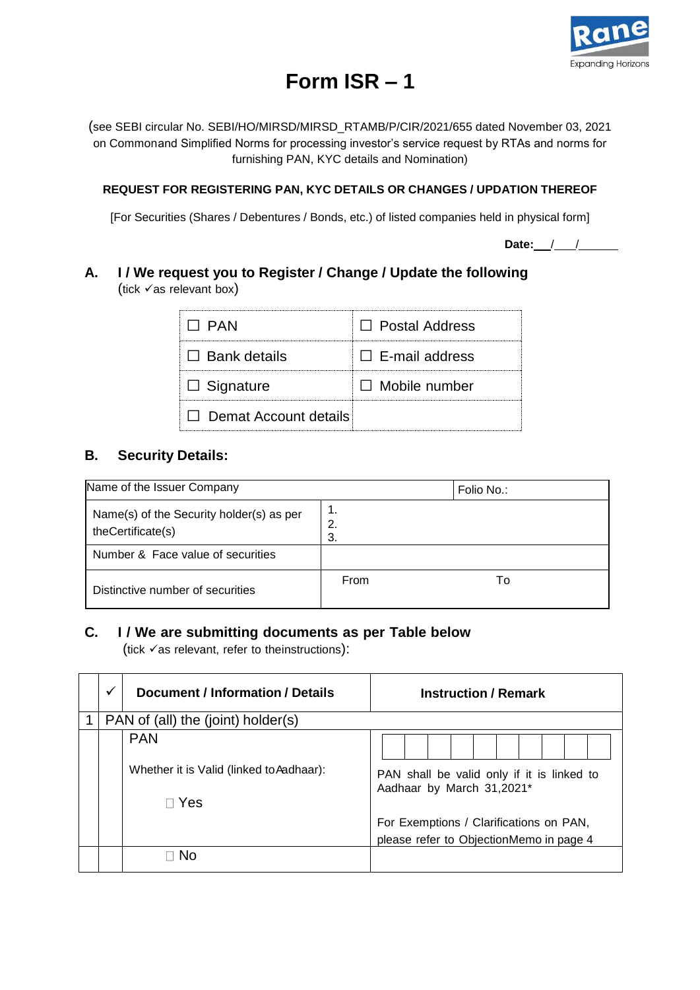

# **Form ISR – 1**

(see SEBI circular No. SEBI/HO/MIRSD/MIRSD\_RTAMB/P/CIR/2021/655 dated November 03, 2021 on Commonand Simplified Norms for processing investor's service request by RTAs and norms for furnishing PAN, KYC details and Nomination)

#### **REQUEST FOR REGISTERING PAN, KYC DETAILS OR CHANGES / UPDATION THEREOF**

[For Securities (Shares / Debentures / Bonds, etc.) of listed companies held in physical form]

Date: / / /

#### **A. I / We request you to Register / Change / Update the following** (tick  $\checkmark$  as relevant box)

| $\Box$ PAN                   | $\Box$ Postal Address |
|------------------------------|-----------------------|
| $\Box$ Bank details          | $\Box$ E-mail address |
| $\Box$ Signature             | $\Box$ Mobile number  |
| $\Box$ Demat Account details |                       |

## **B. Security Details:**

| Name of the Issuer Company                                    |                | Folio No.: |
|---------------------------------------------------------------|----------------|------------|
| Name(s) of the Security holder(s) as per<br>theCertificate(s) | 1.<br>2.<br>3. |            |
| Number & Face value of securities                             |                |            |
| Distinctive number of securities                              | From           | 10         |

### **C. I / We are submitting documents as per Table below**

(tick  $\checkmark$  as relevant, refer to theinstructions):

| $\checkmark$                       | <b>Document / Information / Details</b>                                | <b>Instruction / Remark</b>                                                        |
|------------------------------------|------------------------------------------------------------------------|------------------------------------------------------------------------------------|
| PAN of (all) the (joint) holder(s) |                                                                        |                                                                                    |
|                                    | <b>PAN</b><br>Whether it is Valid (linked to Aadhaar):<br>$\sqcap$ Yes | PAN shall be valid only if it is linked to<br>Aadhaar by March 31,2021*            |
|                                    |                                                                        | For Exemptions / Clarifications on PAN,<br>please refer to ObjectionMemo in page 4 |
|                                    | N <sub>0</sub>                                                         |                                                                                    |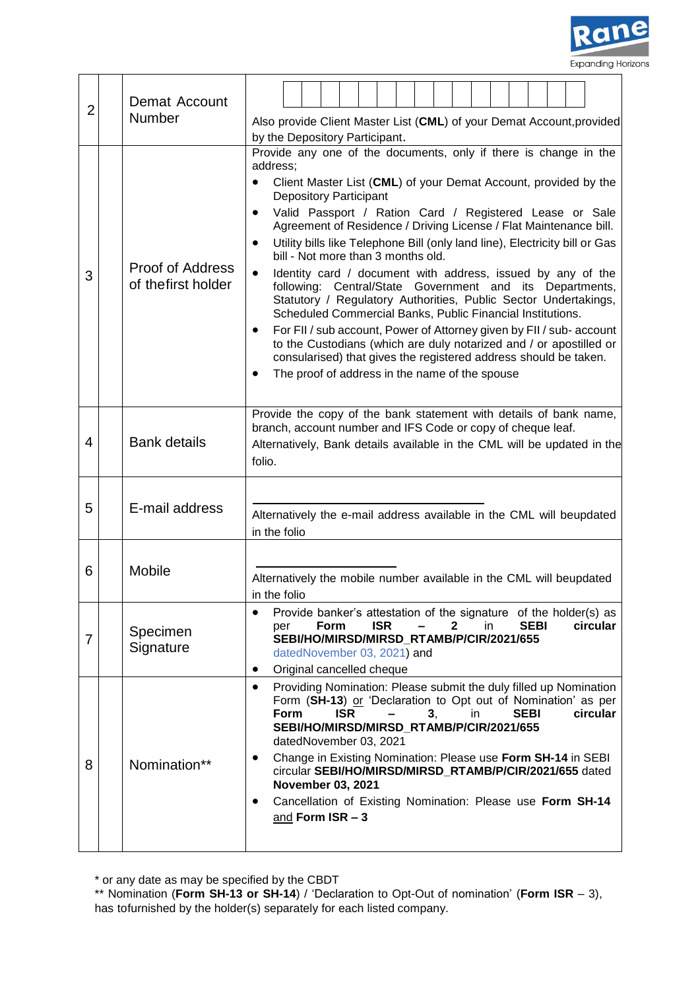

| $\overline{2}$ | Demat Account<br><b>Number</b>                | Also provide Client Master List (CML) of your Demat Account, provided                                                                                                                                                                                                                                                                                                                                                                                                                                                                                                                                                                                                                                                                                                                                                                                                                                                                                                                                                     |
|----------------|-----------------------------------------------|---------------------------------------------------------------------------------------------------------------------------------------------------------------------------------------------------------------------------------------------------------------------------------------------------------------------------------------------------------------------------------------------------------------------------------------------------------------------------------------------------------------------------------------------------------------------------------------------------------------------------------------------------------------------------------------------------------------------------------------------------------------------------------------------------------------------------------------------------------------------------------------------------------------------------------------------------------------------------------------------------------------------------|
|                |                                               | by the Depository Participant.                                                                                                                                                                                                                                                                                                                                                                                                                                                                                                                                                                                                                                                                                                                                                                                                                                                                                                                                                                                            |
| 3              | <b>Proof of Address</b><br>of thefirst holder | Provide any one of the documents, only if there is change in the<br>address;<br>Client Master List (CML) of your Demat Account, provided by the<br><b>Depository Participant</b><br>Valid Passport / Ration Card / Registered Lease or Sale<br>$\bullet$<br>Agreement of Residence / Driving License / Flat Maintenance bill.<br>Utility bills like Telephone Bill (only land line), Electricity bill or Gas<br>$\bullet$<br>bill - Not more than 3 months old.<br>Identity card / document with address, issued by any of the<br>$\bullet$<br>following: Central/State Government and its Departments,<br>Statutory / Regulatory Authorities, Public Sector Undertakings,<br>Scheduled Commercial Banks, Public Financial Institutions.<br>For FII / sub account, Power of Attorney given by FII / sub- account<br>$\bullet$<br>to the Custodians (which are duly notarized and / or apostilled or<br>consularised) that gives the registered address should be taken.<br>The proof of address in the name of the spouse |
| 4              | <b>Bank details</b>                           | Provide the copy of the bank statement with details of bank name,<br>branch, account number and IFS Code or copy of cheque leaf.<br>Alternatively, Bank details available in the CML will be updated in the<br>folio.                                                                                                                                                                                                                                                                                                                                                                                                                                                                                                                                                                                                                                                                                                                                                                                                     |
| 5              | E-mail address                                | Alternatively the e-mail address available in the CML will beupdated<br>in the folio                                                                                                                                                                                                                                                                                                                                                                                                                                                                                                                                                                                                                                                                                                                                                                                                                                                                                                                                      |
| 6              | <b>Mobile</b>                                 | Alternatively the mobile number available in the CML will beupdated<br>in the folio                                                                                                                                                                                                                                                                                                                                                                                                                                                                                                                                                                                                                                                                                                                                                                                                                                                                                                                                       |
| 7              | Specimen<br>Signature                         | Provide banker's attestation of the signature of the holder(s) as<br><b>SEBI</b><br>circular<br>Form<br><b>ISR</b><br>in<br>per<br>2<br>SEBI/HO/MIRSD/MIRSD RTAMB/P/CIR/2021/655<br>datedNovember 03, 2021) and<br>Original cancelled cheque<br>$\bullet$                                                                                                                                                                                                                                                                                                                                                                                                                                                                                                                                                                                                                                                                                                                                                                 |
| 8              | Nomination**                                  | Providing Nomination: Please submit the duly filled up Nomination<br>٠<br>Form (SH-13) or 'Declaration to Opt out of Nomination' as per<br><b>ISR</b><br>3,<br><b>SEBI</b><br>circular<br><b>Form</b><br>in<br>SEBI/HO/MIRSD/MIRSD RTAMB/P/CIR/2021/655<br>datedNovember 03, 2021<br>Change in Existing Nomination: Please use Form SH-14 in SEBI<br>circular SEBI/HO/MIRSD/MIRSD_RTAMB/P/CIR/2021/655 dated<br><b>November 03, 2021</b><br>Cancellation of Existing Nomination: Please use Form SH-14<br>$\bullet$<br>and Form $ISR - 3$                                                                                                                                                                                                                                                                                                                                                                                                                                                                                 |

\* or any date as may be specified by the CBDT

\*\* Nomination (**Form SH-13 or SH-14**) / 'Declaration to Opt-Out of nomination' (**Form ISR** – 3), has tofurnished by the holder(s) separately for each listed company.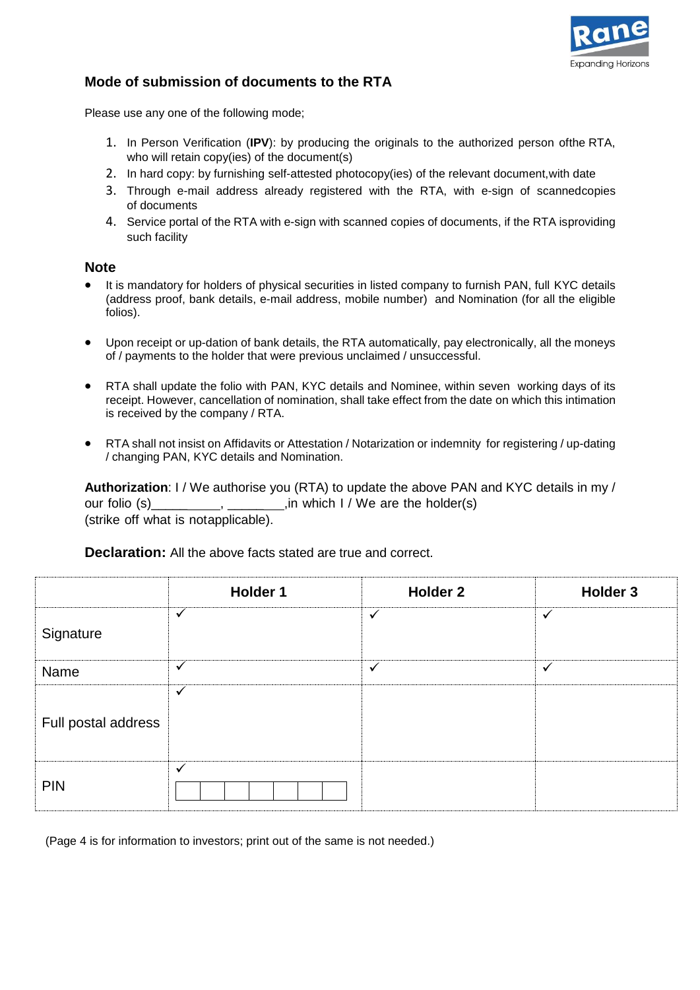

## **Mode of submission of documents to the RTA**

Please use any one of the following mode;

- 1. In Person Verification (**IPV**): by producing the originals to the authorized person ofthe RTA, who will retain copy(ies) of the document(s)
- 2. In hard copy: by furnishing self-attested photocopy(ies) of the relevant document,with date
- 3. Through e-mail address already registered with the RTA, with e-sign of scannedcopies of documents
- 4. Service portal of the RTA with e-sign with scanned copies of documents, if the RTA isproviding such facility

#### **Note**

- It is mandatory for holders of physical securities in listed company to furnish PAN, full KYC details (address proof, bank details, e-mail address, mobile number) and Nomination (for all the eligible folios).
- Upon receipt or up-dation of bank details, the RTA automatically, pay electronically, all the moneys of / payments to the holder that were previous unclaimed / unsuccessful.
- RTA shall update the folio with PAN, KYC details and Nominee, within seven working days of its receipt. However, cancellation of nomination, shall take effect from the date on which this intimation is received by the company / RTA.
- RTA shall not insist on Affidavits or Attestation / Notarization or indemnity for registering / up-dating / changing PAN, KYC details and Nomination.

**Authorization**: I / We authorise you (RTA) to update the above PAN and KYC details in my / our folio  $(s)$  ,  $\qquad \qquad$  ,  $\qquad \qquad$  , in which I / We are the holder(s) (strike off what is notapplicable).

**Declaration:** All the above facts stated are true and correct.

|                     | Holder 1     | <b>Holder 2</b> | Holder 3     |
|---------------------|--------------|-----------------|--------------|
| Signature           | $\checkmark$ | $\checkmark$    | $\checkmark$ |
| Name                | $\checkmark$ | $\checkmark$    | $\checkmark$ |
| Full postal address | $\checkmark$ |                 |              |
| <b>PIN</b>          | $\checkmark$ |                 |              |

(Page 4 is for information to investors; print out of the same is not needed.)